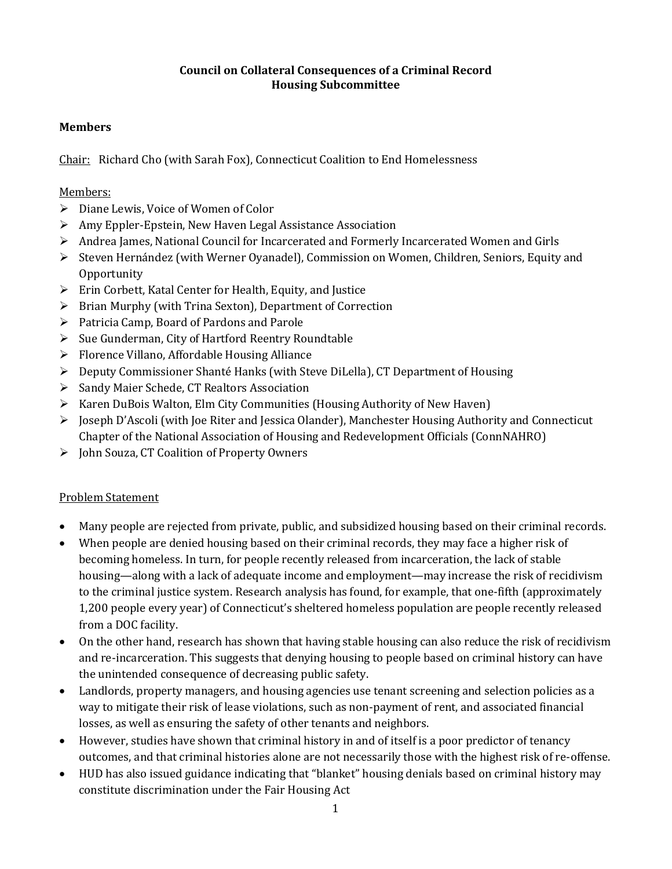#### **Council on Collateral Consequences of a Criminal Record Housing Subcommittee**

# **Members**

Chair: Richard Cho (with Sarah Fox), Connecticut Coalition to End Homelessness

## Members:

- $\triangleright$  Diane Lewis, Voice of Women of Color
- $\triangleright$  Amy Eppler-Epstein, New Haven Legal Assistance Association
- Andrea James, National Council for Incarcerated and Formerly Incarcerated Women and Girls
- Steven Hernández (with Werner Oyanadel), Commission on Women, Children, Seniors, Equity and **Opportunity**
- Erin Corbett, Katal Center for Health, Equity, and Justice
- $\triangleright$  Brian Murphy (with Trina Sexton), Department of Correction
- $\triangleright$  Patricia Camp, Board of Pardons and Parole
- $\triangleright$  Sue Gunderman, City of Hartford Reentry Roundtable
- $\triangleright$  Florence Villano, Affordable Housing Alliance
- Deputy Commissioner Shanté Hanks (with Steve DiLella), CT Department of Housing
- Sandy Maier Schede, CT Realtors Association
- Karen DuBois Walton, Elm City Communities (Housing Authority of New Haven)
- $\triangleright$  Joseph D'Ascoli (with Joe Riter and Jessica Olander), Manchester Housing Authority and Connecticut Chapter of the National Association of Housing and Redevelopment Officials (ConnNAHRO)
- John Souza, CT Coalition of Property Owners

## Problem Statement

- Many people are rejected from private, public, and subsidized housing based on their criminal records.
- When people are denied housing based on their criminal records, they may face a higher risk of becoming homeless. In turn, for people recently released from incarceration, the lack of stable housing—along with a lack of adequate income and employment—may increase the risk of recidivism to the criminal justice system. Research analysis has found, for example, that one-fifth (approximately 1,200 people every year) of Connecticut's sheltered homeless population are people recently released from a DOC facility.
- On the other hand, research has shown that having stable housing can also reduce the risk of recidivism and re-incarceration. This suggests that denying housing to people based on criminal history can have the unintended consequence of decreasing public safety.
- Landlords, property managers, and housing agencies use tenant screening and selection policies as a way to mitigate their risk of lease violations, such as non-payment of rent, and associated financial losses, as well as ensuring the safety of other tenants and neighbors.
- However, studies have shown that criminal history in and of itself is a poor predictor of tenancy outcomes, and that criminal histories alone are not necessarily those with the highest risk of re-offense.
- HUD has also issued guidance indicating that "blanket" housing denials based on criminal history may constitute discrimination under the Fair Housing Act